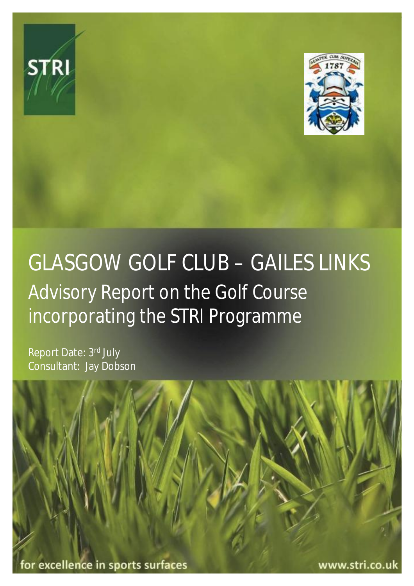



# GLASGOW GOLF CLUB – GAILES LINKS Advisory Report on the Golf Course incorporating the STRI Programme

Report Date: 3rd July Consultant: Jay Dobson

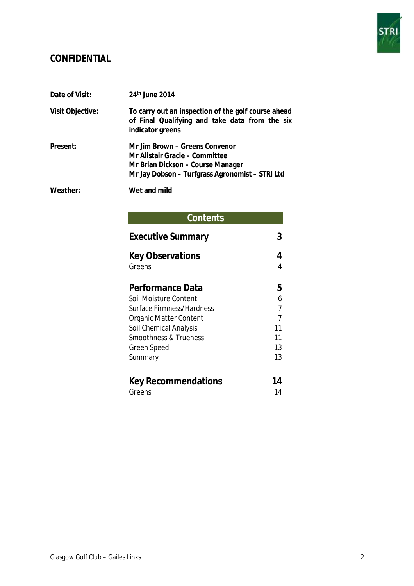

# **CONFIDENTIAL**

| Date of Visit:   | 24th June 2014                                                                                                                                           |
|------------------|----------------------------------------------------------------------------------------------------------------------------------------------------------|
| Visit Objective: | To carry out an inspection of the golf course ahead<br>of Final Qualifying and take data from the six<br>indicator greens                                |
| Present:         | Mr Jim Brown – Greens Convenor<br>Mr Alistair Gracie – Committee<br>Mr Brian Dickson - Course Manager<br>Mr Jay Dobson - Turfgrass Agronomist - STRI Ltd |
| Weather:         | Wet and mild                                                                                                                                             |

# **Contents**

| <b>Executive Summary</b>         |    |
|----------------------------------|----|
| <b>Key Observations</b>          |    |
| Greens                           | 4  |
| Performance Data                 | 5  |
| Soil Moisture Content            | 6  |
| Surface Firmness/Hardness        |    |
| <b>Organic Matter Content</b>    | 7  |
| Soil Chemical Analysis           | 11 |
| <b>Smoothness &amp; Trueness</b> | 11 |
| Green Speed                      | 13 |
| Summary                          | 13 |
| <b>Key Recommendations</b>       | 14 |
| Greens                           | 14 |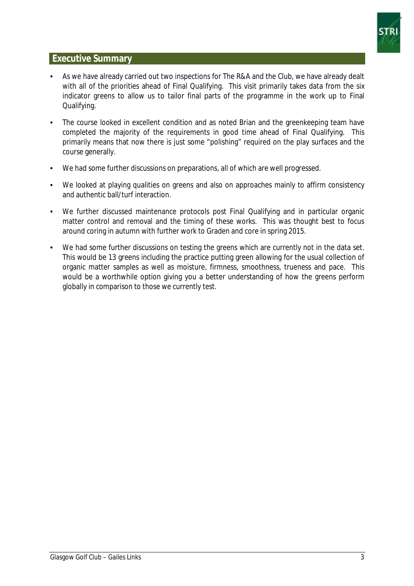

# **Executive Summary**

- As we have already carried out two inspections for The R&A and the Club, we have already dealt with all of the priorities ahead of Final Qualifying. This visit primarily takes data from the six indicator greens to allow us to tailor final parts of the programme in the work up to Final Qualifying.
- The course looked in excellent condition and as noted Brian and the greenkeeping team have completed the majority of the requirements in good time ahead of Final Qualifying. This primarily means that now there is just some "polishing" required on the play surfaces and the course generally.
- We had some further discussions on preparations, all of which are well progressed.
- We looked at playing qualities on greens and also on approaches mainly to affirm consistency and authentic ball/turf interaction.
- We further discussed maintenance protocols post Final Qualifying and in particular organic matter control and removal and the timing of these works. This was thought best to focus around coring in autumn with further work to Graden and core in spring 2015.
- We had some further discussions on testing the greens which are currently not in the data set. This would be 13 greens including the practice putting green allowing for the usual collection of organic matter samples as well as moisture, firmness, smoothness, trueness and pace. This would be a worthwhile option giving you a better understanding of how the greens perform globally in comparison to those we currently test.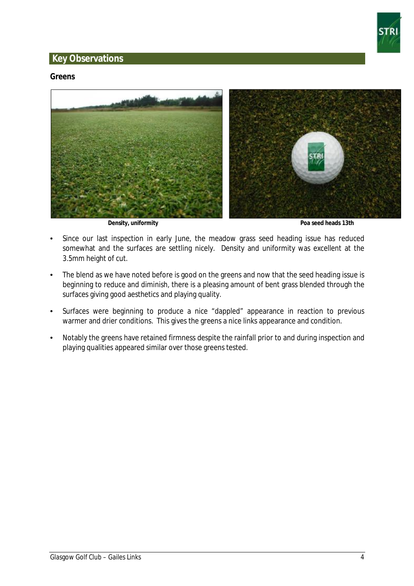

# **Key Observations**

#### **Greens**



 **Density, uniformity Poa seed heads 13th** 

- Since our last inspection in early June, the meadow grass seed heading issue has reduced somewhat and the surfaces are settling nicely. Density and uniformity was excellent at the 3.5mm height of cut.
- The blend as we have noted before is good on the greens and now that the seed heading issue is beginning to reduce and diminish, there is a pleasing amount of bent grass blended through the surfaces giving good aesthetics and playing quality.
- Surfaces were beginning to produce a nice "dappled" appearance in reaction to previous warmer and drier conditions. This gives the greens a nice links appearance and condition.
- Notably the greens have retained firmness despite the rainfall prior to and during inspection and playing qualities appeared similar over those greens tested.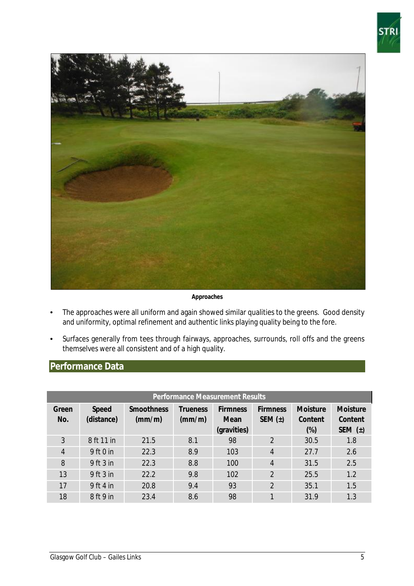



**Approaches** 

- The approaches were all uniform and again showed similar qualities to the greens. Good density and uniformity, optimal refinement and authentic links playing quality being to the fore.
- Surfaces generally from tees through fairways, approaches, surrounds, roll offs and the greens themselves were all consistent and of a high quality.

# **Performance Data**

| <b>Performance Measurement Results</b> |               |                   |          |                 |                 |                 |                 |
|----------------------------------------|---------------|-------------------|----------|-----------------|-----------------|-----------------|-----------------|
| Green                                  | Speed         | <b>Smoothness</b> | Trueness | <b>Firmness</b> | <b>Firmness</b> | <b>Moisture</b> | <b>Moisture</b> |
| No.                                    | (distance)    | (mm/m)            | (mm/m)   | Mean            | SEM $(\pm)$     | Content         | Content         |
|                                        |               |                   |          | (gravities)     |                 | $(\%)$          | SEM $(\pm)$     |
| 3                                      | 8 ft 11 in    | 21.5              | 8.1      | 98              | $\overline{2}$  | 30.5            | 1.8             |
| $\overline{4}$                         | 9 ft 0 in     | 22.3              | 8.9      | 103             | $\overline{4}$  | 27.7            | 2.6             |
| 8                                      | $9$ ft $3$ in | 22.3              | 8.8      | 100             | $\overline{4}$  | 31.5            | 2.5             |
| 13                                     | 9 ft 3 in     | 22.2              | 9.8      | 102             | $\overline{2}$  | 25.5            | 1.2             |
| 17                                     | 9 ft 4 in     | 20.8              | 9.4      | 93              | $\overline{2}$  | 35.1            | 1.5             |
| 18                                     | 8 ft 9 in     | 23.4              | 8.6      | 98              | 1               | 31.9            | 1.3             |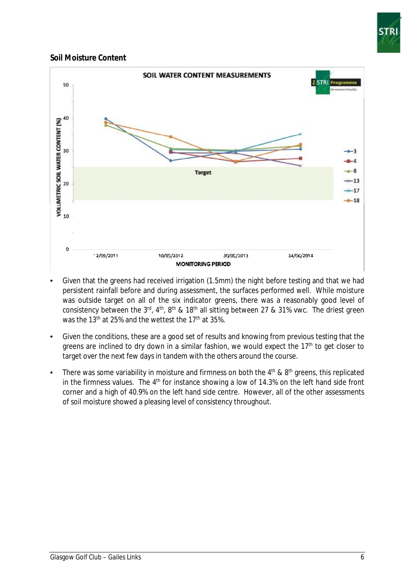

#### **Soil Moisture Content**



- Given that the greens had received irrigation (1.5mm) the night before testing and that we had persistent rainfall before and during assessment, the surfaces performed well. While moisture was outside target on all of the six indicator greens, there was a reasonably good level of consistency between the 3<sup>rd</sup>, 4<sup>th</sup>, 8<sup>th</sup> & 18<sup>th</sup> all sitting between 27 & 31% vwc. The driest green was the 13<sup>th</sup> at 25% and the wettest the 17<sup>th</sup> at 35%.
- Given the conditions, these are a good set of results and knowing from previous testing that the greens are inclined to dry down in a similar fashion, we would expect the 17<sup>th</sup> to get closer to target over the next few days in tandem with the others around the course.
- There was some variability in moisture and firmness on both the  $4<sup>th</sup>$  &  $8<sup>th</sup>$  greens, this replicated in the firmness values. The  $4<sup>th</sup>$  for instance showing a low of 14.3% on the left hand side front corner and a high of 40.9% on the left hand side centre. However, all of the other assessments of soil moisture showed a pleasing level of consistency throughout.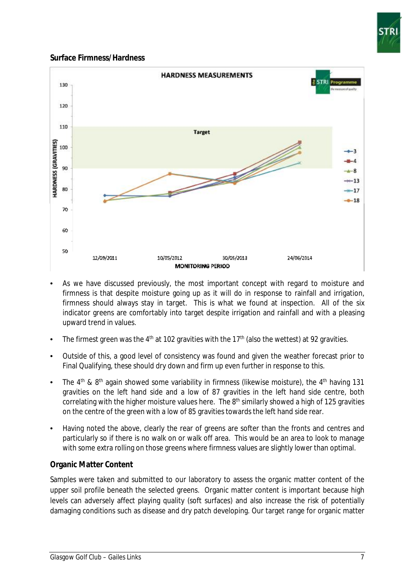

# **Surface Firmness/Hardness**



- As we have discussed previously, the most important concept with regard to moisture and firmness is that despite moisture going up as it will do in response to rainfall and irrigation, firmness should always stay in target. This is what we found at inspection. All of the six indicator greens are comfortably into target despite irrigation and rainfall and with a pleasing upward trend in values.
- The firmest green was the 4<sup>th</sup> at 102 gravities with the 17<sup>th</sup> (also the wettest) at 92 gravities.
- Outside of this, a good level of consistency was found and given the weather forecast prior to Final Qualifying, these should dry down and firm up even further in response to this.
- The  $4<sup>th</sup>$  &  $8<sup>th</sup>$  again showed some variability in firmness (likewise moisture), the  $4<sup>th</sup>$  having 131 gravities on the left hand side and a low of 87 gravities in the left hand side centre, both correlating with the higher moisture values here. The 8<sup>th</sup> similarly showed a high of 125 gravities on the centre of the green with a low of 85 gravities towards the left hand side rear.
- Having noted the above, clearly the rear of greens are softer than the fronts and centres and particularly so if there is no walk on or walk off area. This would be an area to look to manage with some extra rolling on those greens where firmness values are slightly lower than optimal.

# **Organic Matter Content**

Samples were taken and submitted to our laboratory to assess the organic matter content of the upper soil profile beneath the selected greens. Organic matter content is important because high levels can adversely affect playing quality (soft surfaces) and also increase the risk of potentially damaging conditions such as disease and dry patch developing. Our target range for organic matter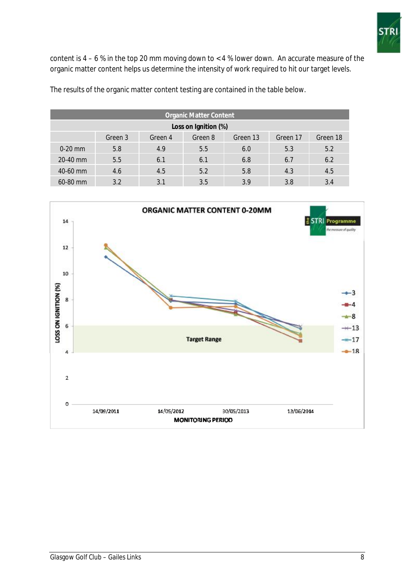

content is  $4 - 6$  % in the top 20 mm moving down to  $< 4$  % lower down. An accurate measure of the organic matter content helps us determine the intensity of work required to hit our target levels.

The results of the organic matter content testing are contained in the table below.

| <b>Organic Matter Content</b> |         |         |         |          |          |          |
|-------------------------------|---------|---------|---------|----------|----------|----------|
| Loss on Ignition (%)          |         |         |         |          |          |          |
|                               | Green 3 | Green 4 | Green 8 | Green 13 | Green 17 | Green 18 |
| $0-20$ mm                     | 5.8     | 4.9     | 5.5     | 6.0      | 5.3      | 5.2      |
| 20-40 mm                      | 5.5     | 6.1     | 6.1     | 6.8      | 6.7      | 6.2      |
| $40-60$ mm                    | 4.6     | 4.5     | 5.2     | 5.8      | 4.3      | 4.5      |
| 60-80 mm                      | 3.2     | 3.1     | 3.5     | 3.9      | 3.8      | 3.4      |

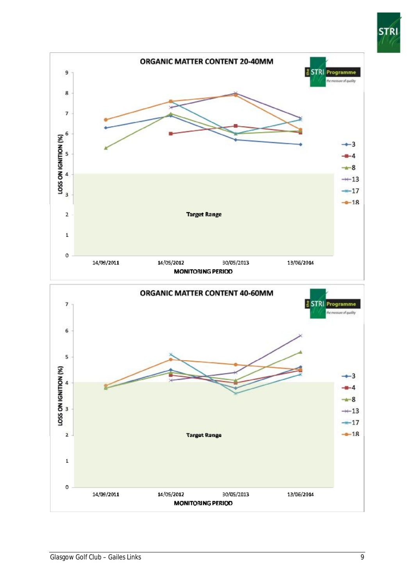

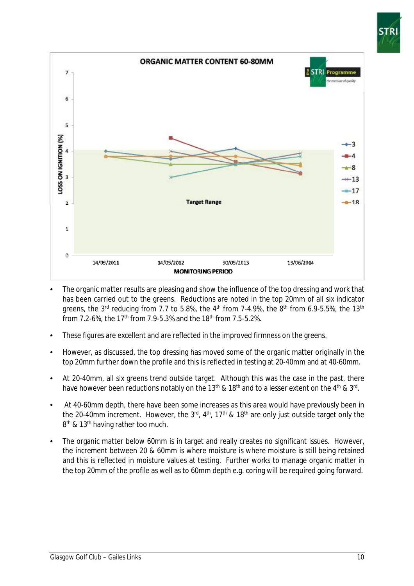



- The organic matter results are pleasing and show the influence of the top dressing and work that has been carried out to the greens. Reductions are noted in the top 20mm of all six indicator greens, the 3<sup>rd</sup> reducing from 7.7 to 5.8%, the 4<sup>th</sup> from 7-4.9%, the 8<sup>th</sup> from 6.9-5.5%, the 13<sup>th</sup> from 7.2-6%, the 17<sup>th</sup> from 7.9-5.3% and the 18<sup>th</sup> from 7.5-5.2%.
- These figures are excellent and are reflected in the improved firmness on the greens.
- However, as discussed, the top dressing has moved some of the organic matter originally in the top 20mm further down the profile and this is reflected in testing at 20-40mm and at 40-60mm.
- At 20-40mm, all six greens trend outside target. Although this was the case in the past, there have however been reductions notably on the 13<sup>th</sup> & 18<sup>th</sup> and to a lesser extent on the 4<sup>th</sup> & 3<sup>rd</sup>.
- At 40-60mm depth, there have been some increases as this area would have previously been in the 20-40mm increment. However, the 3<sup>rd</sup>, 4<sup>th</sup>, 17<sup>th</sup> & 18<sup>th</sup> are only just outside target only the 8<sup>th</sup> & 13<sup>th</sup> having rather too much.
- The organic matter below 60mm is in target and really creates no significant issues. However, the increment between 20 & 60mm is where moisture is where moisture is still being retained and this is reflected in moisture values at testing. Further works to manage organic matter in the top 20mm of the profile as well as to 60mm depth e.g. coring will be required going forward.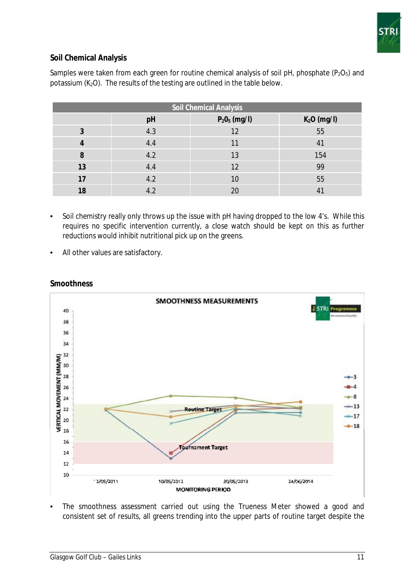

# **Soil Chemical Analysis**

| <b>Soil Chemical Analysis</b> |     |                 |                |  |  |
|-------------------------------|-----|-----------------|----------------|--|--|
|                               | pH  | $P_2O_5$ (mg/l) | $K2O$ (mg/l)   |  |  |
| 3                             | 4.3 | 12              | 55             |  |  |
|                               | 4.4 | 11              | 41             |  |  |
| 8                             | 4.2 | 13              | 154            |  |  |
| 13                            | 4.4 | 12              | 99             |  |  |
| 17                            | 4.2 | 10              | 55             |  |  |
| 18                            | 4.2 | 20              | 4 <sup>7</sup> |  |  |

Samples were taken from each green for routine chemical analysis of soil pH, phosphate ( $P_2O_5$ ) and potassium ( $K<sub>2</sub>O$ ). The results of the testing are outlined in the table below.

- Soil chemistry really only throws up the issue with pH having dropped to the low 4's. While this requires no specific intervention currently, a close watch should be kept on this as further reductions would inhibit nutritional pick up on the greens.
- All other values are satisfactory.



#### **Smoothness**

The smoothness assessment carried out using the Trueness Meter showed a good and consistent set of results, all greens trending into the upper parts of routine target despite the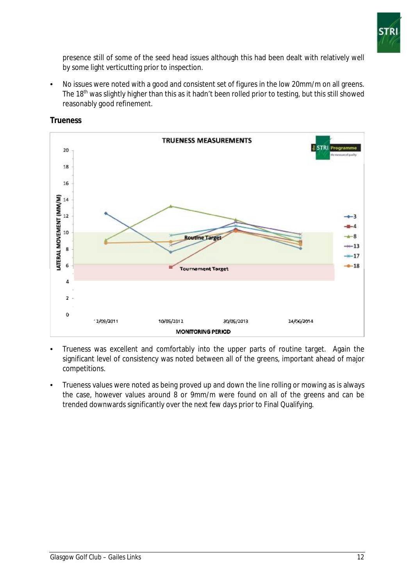

presence still of some of the seed head issues although this had been dealt with relatively well by some light verticutting prior to inspection.

• No issues were noted with a good and consistent set of figures in the low 20mm/m on all greens. The 18<sup>th</sup> was slightly higher than this as it hadn't been rolled prior to testing, but this still showed reasonably good refinement.



**Trueness** 

- Trueness was excellent and comfortably into the upper parts of routine target. Again the significant level of consistency was noted between all of the greens, important ahead of major competitions.
- Trueness values were noted as being proved up and down the line rolling or mowing as is always the case, however values around 8 or 9mm/m were found on all of the greens and can be trended downwards significantly over the next few days prior to Final Qualifying.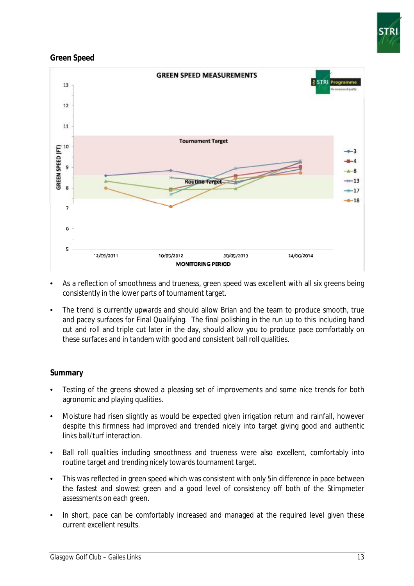

## **Green Speed**



- As a reflection of smoothness and trueness, green speed was excellent with all six greens being consistently in the lower parts of tournament target.
- The trend is currently upwards and should allow Brian and the team to produce smooth, true and pacey surfaces for Final Qualifying. The final polishing in the run up to this including hand cut and roll and triple cut later in the day, should allow you to produce pace comfortably on these surfaces and in tandem with good and consistent ball roll qualities.

#### **Summary**

- Testing of the greens showed a pleasing set of improvements and some nice trends for both agronomic and playing qualities.
- Moisture had risen slightly as would be expected given irrigation return and rainfall, however despite this firmness had improved and trended nicely into target giving good and authentic links ball/turf interaction.
- Ball roll qualities including smoothness and trueness were also excellent, comfortably into routine target and trending nicely towards tournament target.
- This was reflected in green speed which was consistent with only 5in difference in pace between the fastest and slowest green and a good level of consistency off both of the Stimpmeter assessments on each green.
- In short, pace can be comfortably increased and managed at the required level given these current excellent results.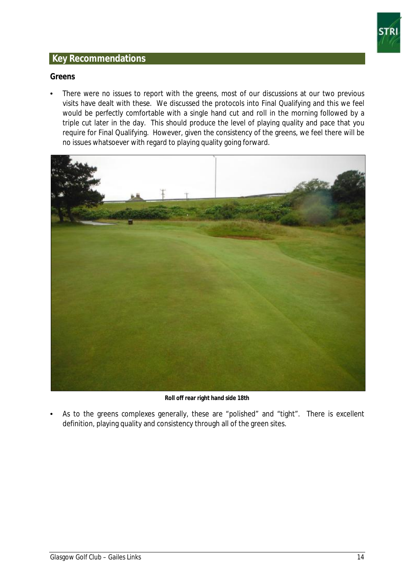

# **Key Recommendations**

#### **Greens**

• There were no issues to report with the greens, most of our discussions at our two previous visits have dealt with these. We discussed the protocols into Final Qualifying and this we feel would be perfectly comfortable with a single hand cut and roll in the morning followed by a triple cut later in the day. This should produce the level of playing quality and pace that you require for Final Qualifying. However, given the consistency of the greens, we feel there will be no issues whatsoever with regard to playing quality going forward.



**Roll off rear right hand side 18th** 

• As to the greens complexes generally, these are "polished" and "tight". There is excellent definition, playing quality and consistency through all of the green sites.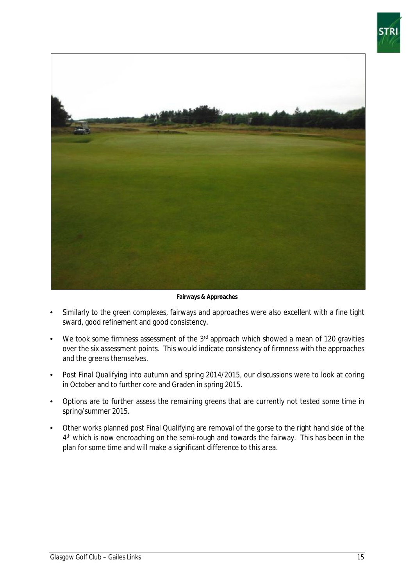



**Fairways & Approaches** 

- Similarly to the green complexes, fairways and approaches were also excellent with a fine tight sward, good refinement and good consistency.
- We took some firmness assessment of the  $3<sup>rd</sup>$  approach which showed a mean of 120 gravities over the six assessment points. This would indicate consistency of firmness with the approaches and the greens themselves.
- Post Final Qualifying into autumn and spring 2014/2015, our discussions were to look at coring in October and to further core and Graden in spring 2015.
- Options are to further assess the remaining greens that are currently not tested some time in spring/summer 2015.
- Other works planned post Final Qualifying are removal of the gorse to the right hand side of the 4<sup>th</sup> which is now encroaching on the semi-rough and towards the fairway. This has been in the plan for some time and will make a significant difference to this area.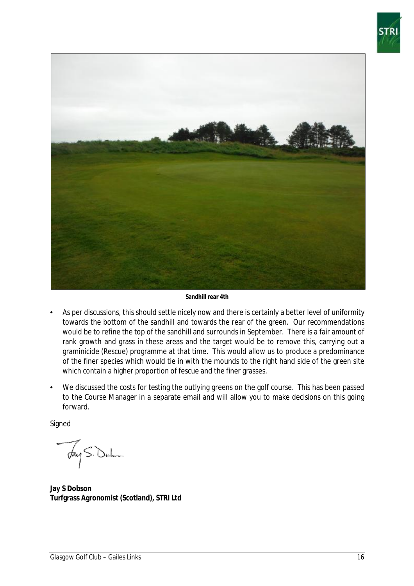



**Sandhill rear 4th** 

- As per discussions, this should settle nicely now and there is certainly a better level of uniformity towards the bottom of the sandhill and towards the rear of the green. Our recommendations would be to refine the top of the sandhill and surrounds in September. There is a fair amount of rank growth and grass in these areas and the target would be to remove this, carrying out a graminicide (Rescue) programme at that time. This would allow us to produce a predominance of the finer species which would tie in with the mounds to the right hand side of the green site which contain a higher proportion of fescue and the finer grasses.
- We discussed the costs for testing the outlying greens on the golf course. This has been passed to the Course Manager in a separate email and will allow you to make decisions on this going forward.

**Signed** 

Fay S. Delm

**Jay S Dobson Turfgrass Agronomist (Scotland), STRI Ltd**